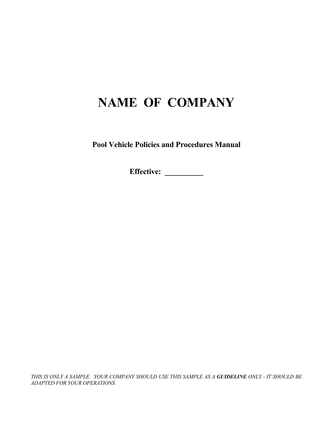## **NAME OF COMPANY**

**Pool Vehicle Policies and Procedures Manual** 

**Effective: \_\_\_\_\_\_\_\_\_\_**

*THIS IS ONLY A SAMPLE. YOUR COMPANY SHOULD USE THIS SAMPLE AS A GUIDELINE ONLY - IT SHOULD BE ADAPTED FOR YOUR OPERATIONS.*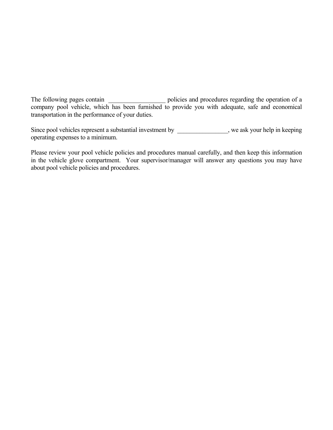The following pages contain \_\_\_\_\_\_\_\_\_\_\_\_\_\_\_\_\_\_\_\_ policies and procedures regarding the operation of a company pool vehicle, which has been furnished to provide you with adequate, safe and economical transportation in the performance of your duties.

Since pool vehicles represent a substantial investment by \_\_\_\_\_\_\_\_\_\_\_\_\_\_, we ask your help in keeping operating expenses to a minimum.

Please review your pool vehicle policies and procedures manual carefully, and then keep this information in the vehicle glove compartment. Your supervisor/manager will answer any questions you may have about pool vehicle policies and procedures.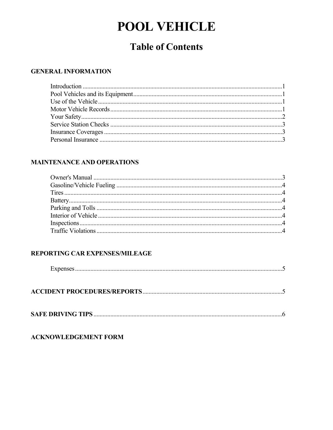# **POOL VEHICLE**

## **Table of Contents**

#### **GENERAL INFORMATION**

### **MAINTENANCE AND OPERATIONS**

### REPORTING CAR EXPENSES/MILEAGE

|--|

|--|--|

|--|--|

#### **ACKNOWLEDGEMENT FORM**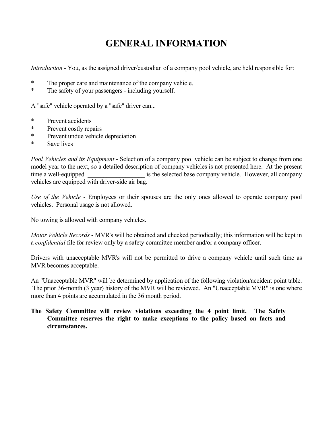## **GENERAL INFORMATION**

*Introduction* - You, as the assigned driver/custodian of a company pool vehicle, are held responsible for:

- \* The proper care and maintenance of the company vehicle.
- \* The safety of your passengers including yourself.

A "safe" vehicle operated by a "safe" driver can...

- \* Prevent accidents
- \* Prevent costly repairs
- \* Prevent undue vehicle depreciation
- \* Save lives

*Pool Vehicles and its Equipment* - Selection of a company pool vehicle can be subject to change from one model year to the next, so a detailed description of company vehicles is not presented here. At the present time a well-equipped is the selected base company vehicle. However, all company vehicles are equipped with driver-side air bag.

*Use of the Vehicle* - Employees or their spouses are the only ones allowed to operate company pool vehicles. Personal usage is not allowed.

No towing is allowed with company vehicles.

*Motor Vehicle Records* - MVR's will be obtained and checked periodically; this information will be kept in a *confidential* file for review only by a safety committee member and/or a company officer.

Drivers with unacceptable MVR's will not be permitted to drive a company vehicle until such time as MVR becomes acceptable.

An "Unacceptable MVR" will be determined by application of the following violation/accident point table. The prior 36-month (3 year) history of the MVR will be reviewed. An "Unacceptable MVR" is one where more than 4 points are accumulated in the 36 month period.

#### **The Safety Committee will review violations exceeding the 4 point limit. The Safety Committee reserves the right to make exceptions to the policy based on facts and circumstances.**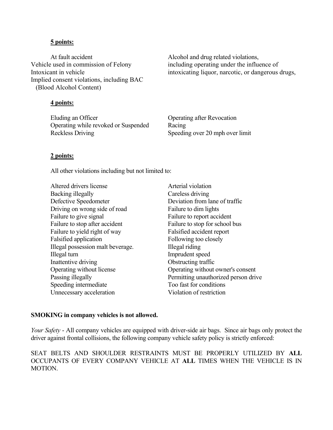#### **5 points:**

At fault accident  $\alpha$  Alcohol and drug related violations, Vehicle used in commission of Felony including operating under the influence of Implied consent violations, including BAC (Blood Alcohol Content)

#### **4 points:**

Eluding an Officer **Contact Contact Contact Contact Contact Contact Contact Contact Contact Contact Contact Contact Contact Contact Contact Contact Contact Contact Contact Contact Contact Contact Contact Contact Contact Co**  Operating while revoked or Suspended Racing Reckless Driving Speeding over 20 mph over limit

Intoxicant in vehicle intoxicating liquor, narcotic, or dangerous drugs,

#### **2 points:**

All other violations including but not limited to:

Altered drivers license Arterial violation Backing illegally Careless driving Defective Speedometer Deviation from lane of traffic Driving on wrong side of road Failure to dim lights Failure to give signal Failure to report accident Failure to stop after accident Failure to stop for school bus Failure to yield right of way Falsified accident report Falsified application Following too closely Illegal possession malt beverage. Illegal riding Illegal turn Imprudent speed Inattentive driving Obstructing traffic Speeding intermediate Too fast for conditions Unnecessary acceleration Violation of restriction

 Operating without license Operating without owner's consent Passing illegally Permitting unauthorized person drive

#### **SMOKING in company vehicles is not allowed.**

*Your Safety* - All company vehicles are equipped with driver-side air bags. Since air bags only protect the driver against frontal collisions, the following company vehicle safety policy is strictly enforced:

SEAT BELTS AND SHOULDER RESTRAINTS MUST BE PROPERLY UTILIZED BY **ALL** OCCUPANTS OF EVERY COMPANY VEHICLE AT **ALL** TIMES WHEN THE VEHICLE IS IN **MOTION**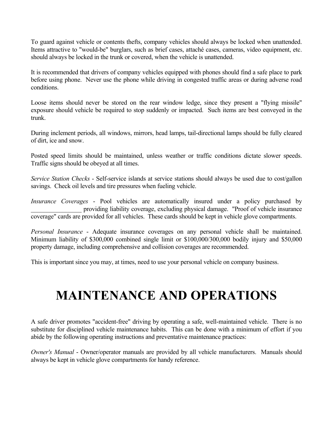To guard against vehicle or contents thefts, company vehicles should always be locked when unattended. Items attractive to "would-be" burglars, such as brief cases, attaché cases, cameras, video equipment, etc. should always be locked in the trunk or covered, when the vehicle is unattended.

It is recommended that drivers of company vehicles equipped with phones should find a safe place to park before using phone. Never use the phone while driving in congested traffic areas or during adverse road conditions.

Loose items should never be stored on the rear window ledge, since they present a "flying missile" exposure should vehicle be required to stop suddenly or impacted. Such items are best conveyed in the trunk.

During inclement periods, all windows, mirrors, head lamps, tail-directional lamps should be fully cleared of dirt, ice and snow.

Posted speed limits should be maintained, unless weather or traffic conditions dictate slower speeds. Traffic signs should be obeyed at all times.

*Service Station Checks* - Self-service islands at service stations should always be used due to cost/gallon savings. Check oil levels and tire pressures when fueling vehicle.

*Insurance Coverages* - Pool vehicles are automatically insured under a policy purchased by providing liability coverage, excluding physical damage. "Proof of vehicle insurance coverage" cards are provided for all vehicles. These cards should be kept in vehicle glove compartments.

*Personal Insurance* - Adequate insurance coverages on any personal vehicle shall be maintained. Minimum liability of \$300,000 combined single limit or \$100,000/300,000 bodily injury and \$50,000 property damage, including comprehensive and collision coverages are recommended.

This is important since you may, at times, need to use your personal vehicle on company business.

# **MAINTENANCE AND OPERATIONS**

A safe driver promotes "accident-free" driving by operating a safe, well-maintained vehicle. There is no substitute for disciplined vehicle maintenance habits. This can be done with a minimum of effort if you abide by the following operating instructions and preventative maintenance practices:

*Owner's Manual* - Owner/operator manuals are provided by all vehicle manufacturers. Manuals should always be kept in vehicle glove compartments for handy reference.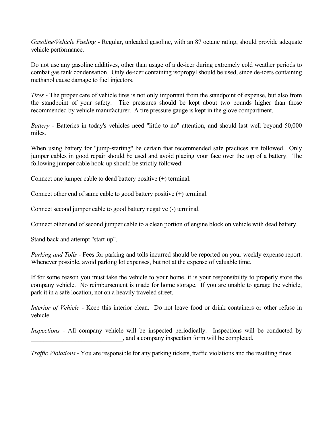*Gasoline/Vehicle Fueling* - Regular, unleaded gasoline, with an 87 octane rating, should provide adequate vehicle performance.

Do not use any gasoline additives, other than usage of a de-icer during extremely cold weather periods to combat gas tank condensation. Only de-icer containing isopropyl should be used, since de-icers containing methanol cause damage to fuel injectors.

*Tires* - The proper care of vehicle tires is not only important from the standpoint of expense, but also from the standpoint of your safety. Tire pressures should be kept about two pounds higher than those recommended by vehicle manufacturer. A tire pressure gauge is kept in the glove compartment.

*Battery* - Batteries in today's vehicles need "little to no" attention, and should last well beyond 50,000 miles.

When using battery for "jump-starting" be certain that recommended safe practices are followed. Only jumper cables in good repair should be used and avoid placing your face over the top of a battery. The following jumper cable hook-up should be strictly followed:

Connect one jumper cable to dead battery positive (+) terminal.

Connect other end of same cable to good battery positive (+) terminal.

Connect second jumper cable to good battery negative (-) terminal.

Connect other end of second jumper cable to a clean portion of engine block on vehicle with dead battery.

Stand back and attempt "start-up".

*Parking and Tolls* - Fees for parking and tolls incurred should be reported on your weekly expense report. Whenever possible, avoid parking lot expenses, but not at the expense of valuable time.

If for some reason you must take the vehicle to your home, it is your responsibility to properly store the company vehicle. No reimbursement is made for home storage. If you are unable to garage the vehicle, park it in a safe location, not on a heavily traveled street.

*Interior of Vehicle* - Keep this interior clean. Do not leave food or drink containers or other refuse in vehicle.

*Inspections* - All company vehicle will be inspected periodically. Inspections will be conducted by \_\_\_\_\_\_\_\_\_\_\_\_\_\_\_\_\_\_\_\_\_\_\_\_\_\_\_\_\_, and a company inspection form will be completed.

*Traffic Violations* - You are responsible for any parking tickets, traffic violations and the resulting fines.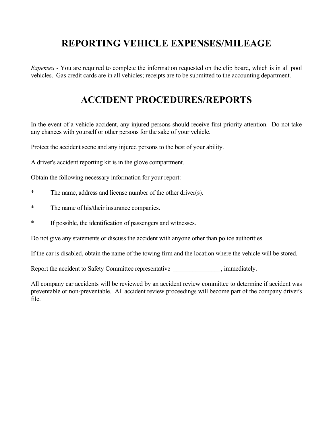## **REPORTING VEHICLE EXPENSES/MILEAGE**

*Expenses* - You are required to complete the information requested on the clip board, which is in all pool vehicles. Gas credit cards are in all vehicles; receipts are to be submitted to the accounting department.

## **ACCIDENT PROCEDURES/REPORTS**

In the event of a vehicle accident, any injured persons should receive first priority attention. Do not take any chances with yourself or other persons for the sake of your vehicle.

Protect the accident scene and any injured persons to the best of your ability.

A driver's accident reporting kit is in the glove compartment.

Obtain the following necessary information for your report:

- \* The name, address and license number of the other driver(s).
- \* The name of his/their insurance companies.
- \* If possible, the identification of passengers and witnesses.

Do not give any statements or discuss the accident with anyone other than police authorities.

If the car is disabled, obtain the name of the towing firm and the location where the vehicle will be stored.

Report the accident to Safety Committee representative \_\_\_\_\_\_\_\_\_\_\_\_\_, immediately.

All company car accidents will be reviewed by an accident review committee to determine if accident was preventable or non-preventable. All accident review proceedings will become part of the company driver's file.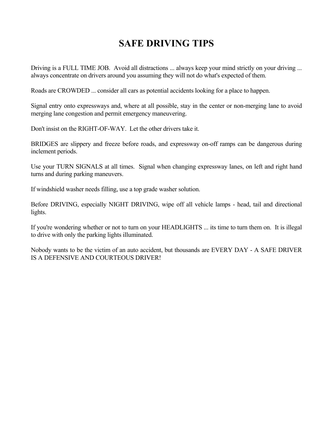## **SAFE DRIVING TIPS**

Driving is a FULL TIME JOB. Avoid all distractions ... always keep your mind strictly on your driving ... always concentrate on drivers around you assuming they will not do what's expected of them.

Roads are CROWDED ... consider all cars as potential accidents looking for a place to happen.

Signal entry onto expressways and, where at all possible, stay in the center or non-merging lane to avoid merging lane congestion and permit emergency maneuvering.

Don't insist on the RIGHT-OF-WAY. Let the other drivers take it.

BRIDGES are slippery and freeze before roads, and expressway on-off ramps can be dangerous during inclement periods.

Use your TURN SIGNALS at all times. Signal when changing expressway lanes, on left and right hand turns and during parking maneuvers.

If windshield washer needs filling, use a top grade washer solution.

Before DRIVING, especially NIGHT DRIVING, wipe off all vehicle lamps - head, tail and directional lights.

If you're wondering whether or not to turn on your HEADLIGHTS ... its time to turn them on. It is illegal to drive with only the parking lights illuminated.

Nobody wants to be the victim of an auto accident, but thousands are EVERY DAY - A SAFE DRIVER IS A DEFENSIVE AND COURTEOUS DRIVER!